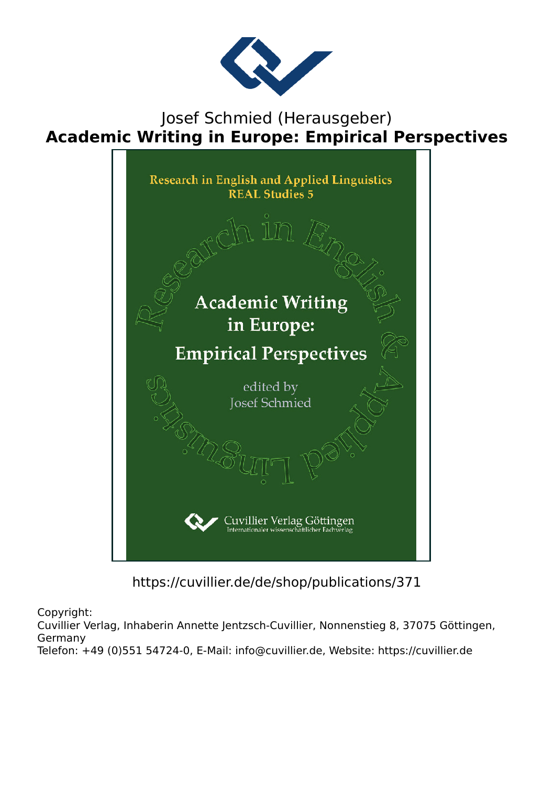

### Josef Schmied (Herausgeber) **Academic Writing in Europe: Empirical Perspectives**



https://cuvillier.de/de/shop/publications/371

Copyright:

Cuvillier Verlag, Inhaberin Annette Jentzsch-Cuvillier, Nonnenstieg 8, 37075 Göttingen, Germany

Telefon: +49 (0)551 54724-0, E-Mail: info@cuvillier.de, Website: https://cuvillier.de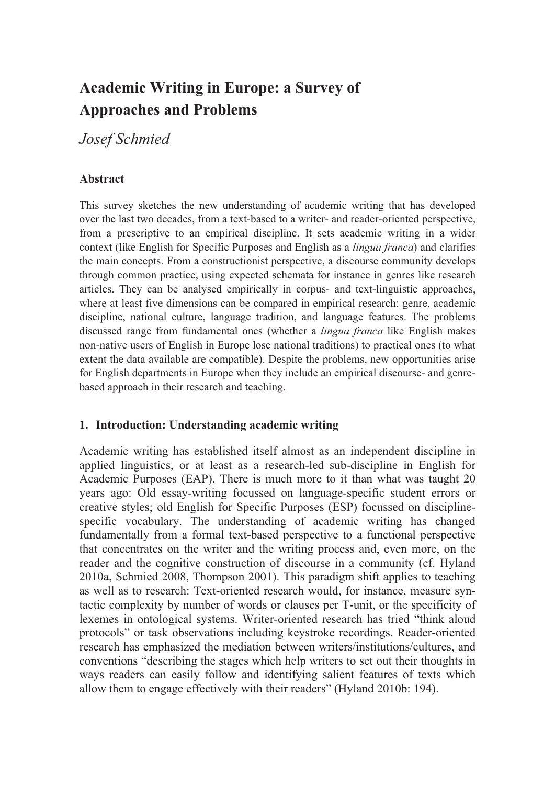# **Academic Writing in Europe: a Survey of Approaches and Problems**

*Josef Schmied* 

## **Abstract**

This survey sketches the new understanding of academic writing that has developed over the last two decades, from a text-based to a writer- and reader-oriented perspective, from a prescriptive to an empirical discipline. It sets academic writing in a wider context (like English for Specific Purposes and English as a *lingua franca*) and clarifies the main concepts. From a constructionist perspective, a discourse community develops through common practice, using expected schemata for instance in genres like research articles. They can be analysed empirically in corpus- and text-linguistic approaches, where at least five dimensions can be compared in empirical research: genre, academic discipline, national culture, language tradition, and language features. The problems discussed range from fundamental ones (whether a *lingua franca* like English makes non-native users of English in Europe lose national traditions) to practical ones (to what extent the data available are compatible). Despite the problems, new opportunities arise for English departments in Europe when they include an empirical discourse- and genrebased approach in their research and teaching.

### **1. Introduction: Understanding academic writing**

Academic writing has established itself almost as an independent discipline in applied linguistics, or at least as a research-led sub-discipline in English for Academic Purposes (EAP). There is much more to it than what was taught 20 years ago: Old essay-writing focussed on language-specific student errors or creative styles; old English for Specific Purposes (ESP) focussed on disciplinespecific vocabulary. The understanding of academic writing has changed fundamentally from a formal text-based perspective to a functional perspective that concentrates on the writer and the writing process and, even more, on the reader and the cognitive construction of discourse in a community (cf. Hyland 2010a, Schmied 2008, Thompson 2001). This paradigm shift applies to teaching as well as to research: Text-oriented research would, for instance, measure syntactic complexity by number of words or clauses per T-unit, or the specificity of lexemes in ontological systems. Writer-oriented research has tried "think aloud protocols" or task observations including keystroke recordings. Reader-oriented research has emphasized the mediation between writers/institutions/cultures, and conventions "describing the stages which help writers to set out their thoughts in ways readers can easily follow and identifying salient features of texts which allow them to engage effectively with their readers" (Hyland 2010b: 194).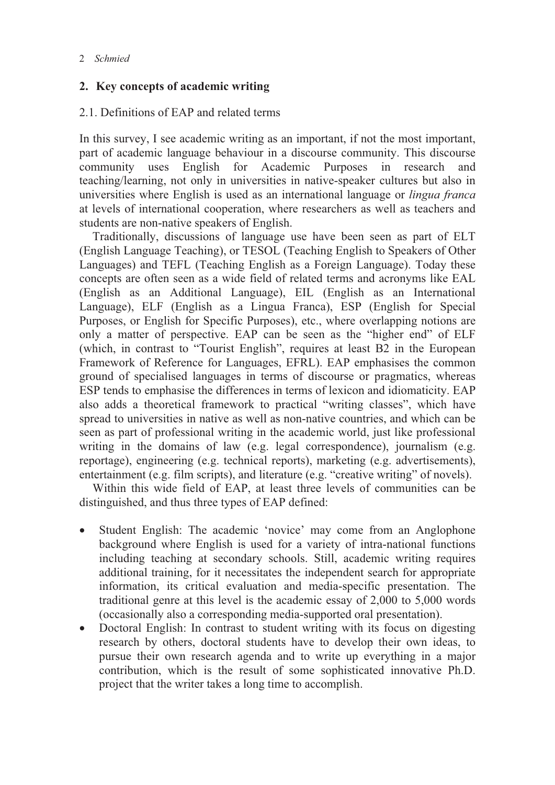#### **2. Key concepts of academic writing**

#### 2.1. Definitions of EAP and related terms

In this survey, I see academic writing as an important, if not the most important, part of academic language behaviour in a discourse community. This discourse community uses English for Academic Purposes in research and teaching/learning, not only in universities in native-speaker cultures but also in universities where English is used as an international language or *lingua franca* at levels of international cooperation, where researchers as well as teachers and students are non-native speakers of English.

Traditionally, discussions of language use have been seen as part of ELT (English Language Teaching), or TESOL (Teaching English to Speakers of Other Languages) and TEFL (Teaching English as a Foreign Language). Today these concepts are often seen as a wide field of related terms and acronyms like EAL (English as an Additional Language), EIL (English as an International Language), ELF (English as a Lingua Franca), ESP (English for Special Purposes, or English for Specific Purposes), etc., where overlapping notions are only a matter of perspective. EAP can be seen as the "higher end" of ELF (which, in contrast to "Tourist English", requires at least B2 in the European Framework of Reference for Languages, EFRL). EAP emphasises the common ground of specialised languages in terms of discourse or pragmatics, whereas ESP tends to emphasise the differences in terms of lexicon and idiomaticity. EAP also adds a theoretical framework to practical "writing classes", which have spread to universities in native as well as non-native countries, and which can be seen as part of professional writing in the academic world, just like professional writing in the domains of law (e.g. legal correspondence), journalism (e.g. reportage), engineering (e.g. technical reports), marketing (e.g. advertisements), entertainment (e.g. film scripts), and literature (e.g. "creative writing" of novels).

Within this wide field of EAP, at least three levels of communities can be distinguished, and thus three types of EAP defined:

- $\bullet$  Student English: The academic 'novice' may come from an Anglophone background where English is used for a variety of intra-national functions including teaching at secondary schools. Still, academic writing requires additional training, for it necessitates the independent search for appropriate information, its critical evaluation and media-specific presentation. The traditional genre at this level is the academic essay of 2,000 to 5,000 words (occasionally also a corresponding media-supported oral presentation).
- $\bullet$  Doctoral English: In contrast to student writing with its focus on digesting research by others, doctoral students have to develop their own ideas, to pursue their own research agenda and to write up everything in a major contribution, which is the result of some sophisticated innovative Ph.D. project that the writer takes a long time to accomplish.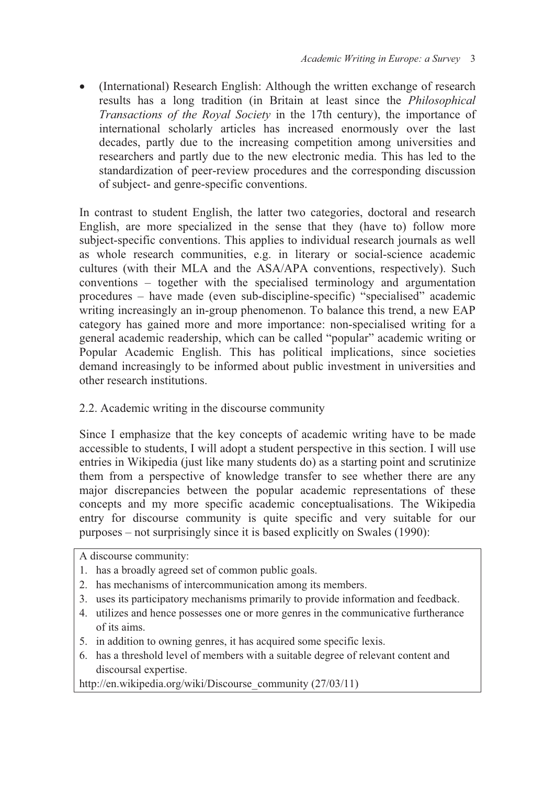$\bullet$  (International) Research English: Although the written exchange of research results has a long tradition (in Britain at least since the *Philosophical Transactions of the Royal Society* in the 17th century), the importance of international scholarly articles has increased enormously over the last decades, partly due to the increasing competition among universities and researchers and partly due to the new electronic media. This has led to the standardization of peer-review procedures and the corresponding discussion of subject- and genre-specific conventions.

In contrast to student English, the latter two categories, doctoral and research English, are more specialized in the sense that they (have to) follow more subject-specific conventions. This applies to individual research journals as well as whole research communities, e.g. in literary or social-science academic cultures (with their MLA and the ASA/APA conventions, respectively). Such conventions – together with the specialised terminology and argumentation procedures – have made (even sub-discipline-specific) "specialised" academic writing increasingly an in-group phenomenon. To balance this trend, a new EAP category has gained more and more importance: non-specialised writing for a general academic readership, which can be called "popular" academic writing or Popular Academic English. This has political implications, since societies demand increasingly to be informed about public investment in universities and other research institutions.

### 2.2. Academic writing in the discourse community

Since I emphasize that the key concepts of academic writing have to be made accessible to students, I will adopt a student perspective in this section. I will use entries in Wikipedia (just like many students do) as a starting point and scrutinize them from a perspective of knowledge transfer to see whether there are any major discrepancies between the popular academic representations of these concepts and my more specific academic conceptualisations. The Wikipedia entry for discourse community is quite specific and very suitable for our purposes – not surprisingly since it is based explicitly on Swales (1990):

A discourse community:

- 1. has a broadly agreed set of common public goals.
- 2. has mechanisms of intercommunication among its members.
- 3. uses its participatory mechanisms primarily to provide information and feedback.
- 4. utilizes and hence possesses one or more genres in the communicative furtherance of its aims.
- 5. in addition to owning genres, it has acquired some specific lexis.
- 6. has a threshold level of members with a suitable degree of relevant content and discoursal expertise.

http://en.wikipedia.org/wiki/Discourse\_community (27/03/11)